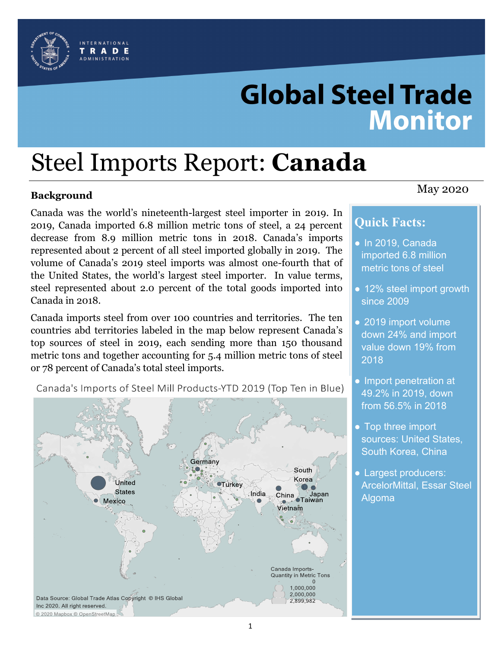

# **Global Steel Trade Monitor**

# Steel Imports Report: **Canada**

# May 2020 **Background**

Canada was the world's nineteenth-largest steel importer in 2019. In 2019, Canada imported 6.8 million metric tons of steel, a 24 percent decrease from 8.9 million metric tons in 2018. Canada's imports represented about 2 percent of all steel imported globally in 2019. The volume of Canada's 2019 steel imports was almost one-fourth that of the United States, the world's largest steel importer. In value terms, steel represented about 2.0 percent of the total goods imported into Canada in 2018.

Canada imports steel from over 100 countries and territories. The ten countries abd territories labeled in the map below represent Canada's top sources of steel in 2019, each sending more than 150 thousand metric tons and together accounting for 5.4 million metric tons of steel or 78 percent of Canada's total steel imports.



Canada's Imports of Steel Mill Products-YTD 2019 (Top Ten in Blue)

# **Quick Facts:**

- In 2019, Canada imported 6.8 million metric tons of steel
- 12% steel import growth since 2009
- 2019 import volume down 24% and import value down 19% from 2018
- Import penetration at 49.2% in 2019, down from 56.5% in 2018
- Top three import sources: United States, South Korea, China
- Largest producers: ArcelorMittal, Essar Steel Algoma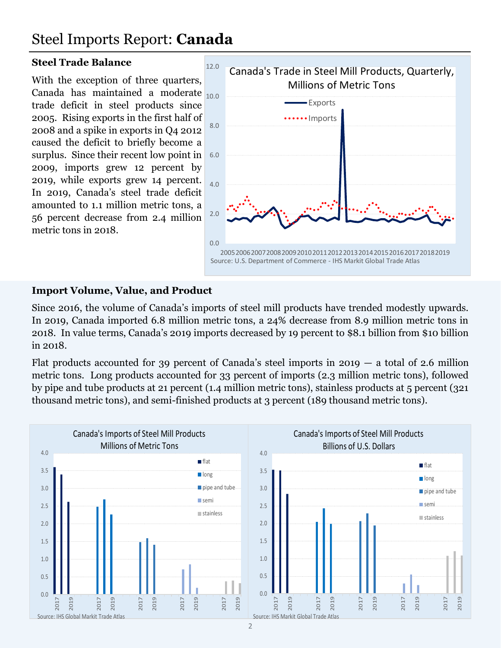# Steel Imports Report: **Canada**

#### **Steel Trade Balance**

With the exception of three quarters, Canada has maintained a moderate  $_{10.0}$ trade deficit in steel products since 2005. Rising exports in the first half of 2008 and a spike in exports in Q4 2012 caused the deficit to briefly become a surplus. Since their recent low point in 2009, imports grew 12 percent by 2019, while exports grew 14 percent. In 2019, Canada's steel trade deficit amounted to 1.1 million metric tons, a 56 percent decrease from 2.4 million metric tons in 2018.



#### **Import Volume, Value, and Product**

Since 2016, the volume of Canada's imports of steel mill products have trended modestly upwards. In 2019, Canada imported 6.8 million metric tons, a 24% decrease from 8.9 million metric tons in 2018. In value terms, Canada's 2019 imports decreased by 19 percent to \$8.1 billion from \$10 billion in 2018.

Flat products accounted for 39 percent of Canada's steel imports in 2019  $-$  a total of 2.6 million metric tons. Long products accounted for 33 percent of imports (2.3 million metric tons), followed by pipe and tube products at 21 percent (1.4 million metric tons), stainless products at 5 percent (321 thousand metric tons), and semi-finished products at 3 percent (189 thousand metric tons).

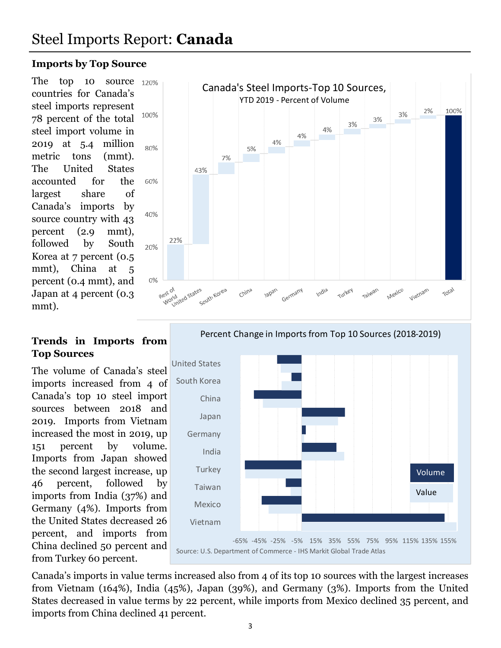# Steel Imports Report: **Canada**

#### **Imports by Top Source**

The top 10 source 120% countries for Canada's steel imports represent 78 percent of the total steel import volume in 2019 at 5.4 million metric tons (mmt). The United States accounted for the largest share of Canada's imports by source country with 43 percent (2.9 mmt), followed by South Korea at 7 percent (0.5 mmt), China at 5 percent (0.4 mmt), and Japan at 4 percent (0.3 mmt).

#### **Trends in Imports from Top Sources**

The volume of Canada's steel imports increased from 4 of Canada's top 10 steel import sources between 2018 and 2019. Imports from Vietnam increased the most in 2019, up 151 percent by volume. Imports from Japan showed the second largest increase, up 46 percent, followed by imports from India (37%) and Germany (4%). Imports from the United States decreased 26 percent, and imports from China declined 50 percent and from Turkey 60 percent.





Percent Change in Imports from Top 10 Sources (2018-2019)

Canada's imports in value terms increased also from 4 of its top 10 sources with the largest increases from Vietnam (164%), India (45%), Japan (39%), and Germany (3%). Imports from the United States decreased in value terms by 22 percent, while imports from Mexico declined 35 percent, and imports from China declined 41 percent.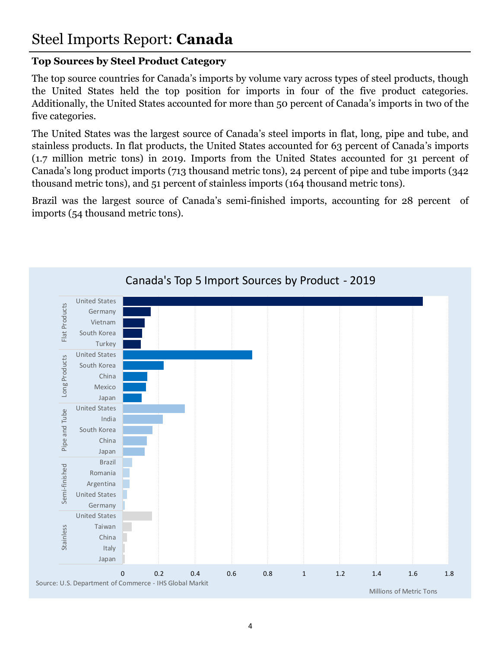## **Top Sources by Steel Product Category**

The top source countries for Canada's imports by volume vary across types of steel products, though the United States held the top position for imports in four of the five product categories. Additionally, the United States accounted for more than 50 percent of Canada's imports in two of the five categories.

The United States was the largest source of Canada's steel imports in flat, long, pipe and tube, and stainless products. In flat products, the United States accounted for 63 percent of Canada's imports (1.7 million metric tons) in 2019. Imports from the United States accounted for 31 percent of Canada's long product imports (713 thousand metric tons), 24 percent of pipe and tube imports (342 thousand metric tons), and 51 percent of stainless imports (164 thousand metric tons).

Brazil was the largest source of Canada's semi-finished imports, accounting for 28 percent of imports (54 thousand metric tons).

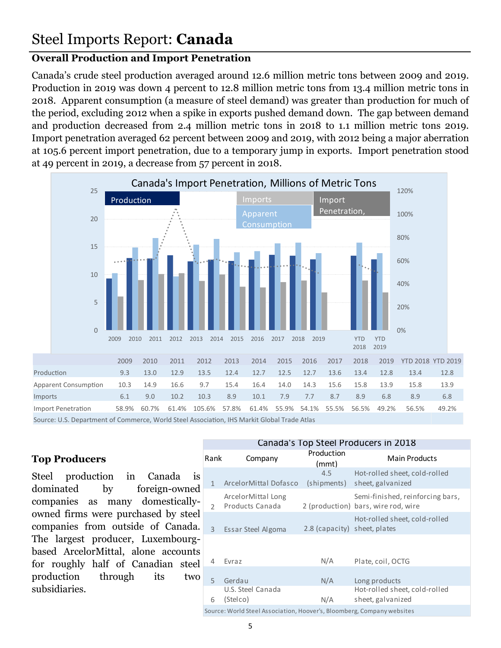## **Overall Production and Import Penetration**

Canada's crude steel production averaged around 12.6 million metric tons between 2009 and 2019. Production in 2019 was down 4 percent to 12.8 million metric tons from 13.4 million metric tons in 2018. Apparent consumption (a measure of steel demand) was greater than production for much of the period, excluding 2012 when a spike in exports pushed demand down. The gap between demand and production decreased from 2.4 million metric tons in 2018 to 1.1 million metric tons 2019. Import penetration averaged 62 percent between 2009 and 2019, with 2012 being a major aberration at 105.6 percent import penetration, due to a temporary jump in exports. Import penetration stood at 49 percent in 2019, a decrease from 57 percent in 2018.

![](_page_4_Figure_3.jpeg)

Source: U.S. Department of Commerce, World Steel Association, IHS Markit Global Trade Atlas

### **Top Producers**

Steel production in Canada is dominated by foreign-owned companies as many domesticallyowned firms were purchased by steel companies from outside of Canada. The largest producer, Luxembourgbased ArcelorMittal, alone accounts for roughly half of Canadian steel production through its two subsidiaries.

| Canada's Top Steel Producers in 2018                                   |                                       |                              |                                                                         |
|------------------------------------------------------------------------|---------------------------------------|------------------------------|-------------------------------------------------------------------------|
| Rank                                                                   | Company                               | Production<br>(mmt)          | <b>Main Products</b>                                                    |
| $\mathbf{1}$                                                           | ArcelorMittal Dofasco                 | 4.5<br>(shipments)           | Hot-rolled sheet, cold-rolled<br>sheet, galvanized                      |
| $\mathcal{P}$                                                          | ArcelorMittal Long<br>Products Canada |                              | Semi-finished, reinforcing bars,<br>2 (production) bars, wire rod, wire |
| 3                                                                      | Essar Steel Algoma                    | 2.8 (capacity) sheet, plates | Hot-rolled sheet, cold-rolled                                           |
| 4                                                                      | Evraz                                 | N/A                          | Plate, coil, OCTG                                                       |
| 5                                                                      | Gerdau                                | N/A                          | Long products                                                           |
| 6                                                                      | U.S. Steel Canada<br>(Stelco)         | N/A                          | Hot-rolled sheet, cold-rolled<br>sheet, galvanized                      |
| Source: World Steel Association, Hoover's, Bloomberg, Company websites |                                       |                              |                                                                         |